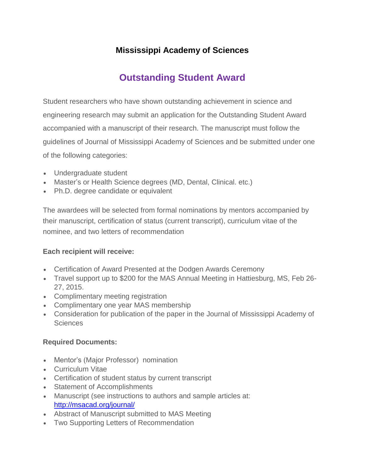# **Mississippi Academy of Sciences**

# **Outstanding Student Award**

Student researchers who have shown outstanding achievement in science and engineering research may submit an application for the Outstanding Student Award accompanied with a manuscript of their research. The manuscript must follow the guidelines of Journal of Mississippi Academy of Sciences and be submitted under one of the following categories:

- Undergraduate student
- Master's or Health Science degrees (MD, Dental, Clinical. etc.)
- Ph.D. degree candidate or equivalent

The awardees will be selected from formal nominations by mentors accompanied by their manuscript, certification of status (current transcript), curriculum vitae of the nominee, and two letters of recommendation

#### **Each recipient will receive:**

- Certification of Award Presented at the Dodgen Awards Ceremony
- Travel support up to \$200 for the MAS Annual Meeting in Hattiesburg, MS, Feb 26- 27, 2015.
- Complimentary meeting registration
- Complimentary one year MAS membership
- Consideration for publication of the paper in the Journal of Mississippi Academy of **Sciences**

#### **Required Documents:**

- Mentor's (Major Professor) nomination
- Curriculum Vitae
- Certification of student status by current transcript
- Statement of Accomplishments
- Manuscript (see instructions to authors and sample articles at: <http://msacad.org/journal/>
- Abstract of Manuscript submitted to MAS Meeting
- Two Supporting Letters of Recommendation